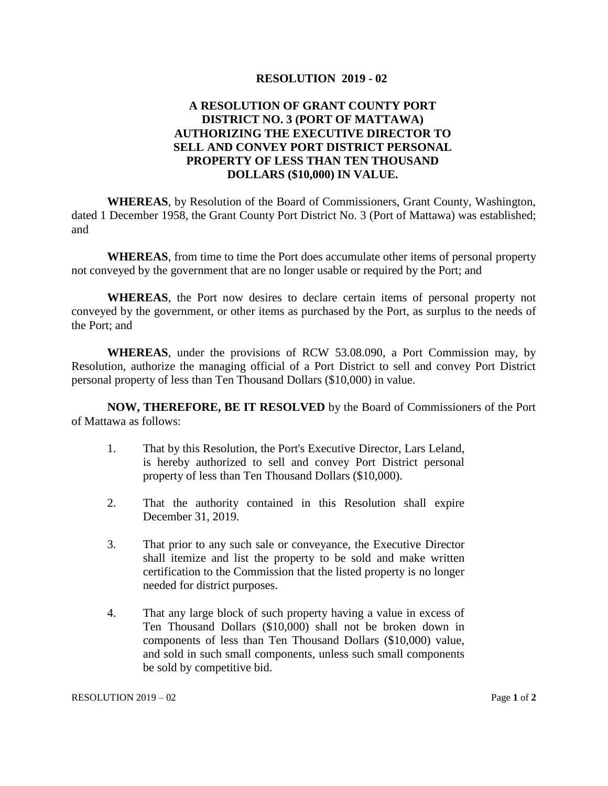## **RESOLUTION 2019 - 02**

## **A RESOLUTION OF GRANT COUNTY PORT DISTRICT NO. 3 (PORT OF MATTAWA) AUTHORIZING THE EXECUTIVE DIRECTOR TO SELL AND CONVEY PORT DISTRICT PERSONAL PROPERTY OF LESS THAN TEN THOUSAND DOLLARS (\$10,000) IN VALUE.**

**WHEREAS**, by Resolution of the Board of Commissioners, Grant County, Washington, dated 1 December 1958, the Grant County Port District No. 3 (Port of Mattawa) was established; and

**WHEREAS**, from time to time the Port does accumulate other items of personal property not conveyed by the government that are no longer usable or required by the Port; and

**WHEREAS**, the Port now desires to declare certain items of personal property not conveyed by the government, or other items as purchased by the Port, as surplus to the needs of the Port; and

**WHEREAS**, under the provisions of RCW 53.08.090, a Port Commission may, by Resolution, authorize the managing official of a Port District to sell and convey Port District personal property of less than Ten Thousand Dollars (\$10,000) in value.

**NOW, THEREFORE, BE IT RESOLVED** by the Board of Commissioners of the Port of Mattawa as follows:

- 1. That by this Resolution, the Port's Executive Director, Lars Leland, is hereby authorized to sell and convey Port District personal property of less than Ten Thousand Dollars (\$10,000).
- 2. That the authority contained in this Resolution shall expire December 31, 2019.
- 3. That prior to any such sale or conveyance, the Executive Director shall itemize and list the property to be sold and make written certification to the Commission that the listed property is no longer needed for district purposes.
- 4. That any large block of such property having a value in excess of Ten Thousand Dollars (\$10,000) shall not be broken down in components of less than Ten Thousand Dollars (\$10,000) value, and sold in such small components, unless such small components be sold by competitive bid.